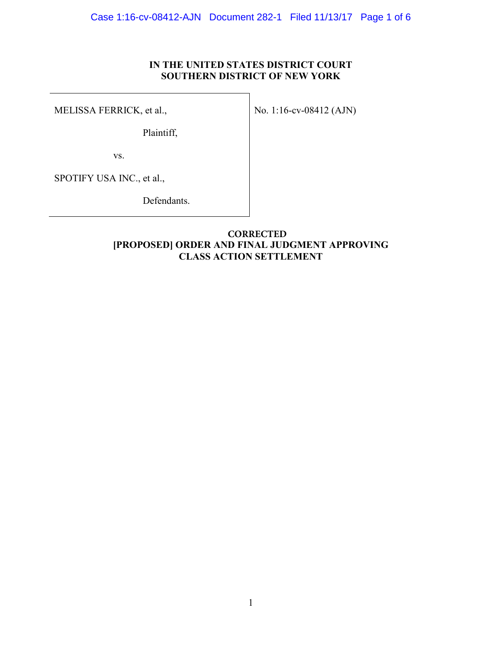# **IN THE UNITED STATES DISTRICT COURT SOUTHERN DISTRICT OF NEW YORK**

MELISSA FERRICK, et al.,

No. 1:16-cv-08412 (AJN)

Plaintiff,

vs.

SPOTIFY USA INC., et al.,

Defendants.

# **[PROPOSED] ORDER AND FINAL JUDGMENT APPROVING CLASS ACTION SETTLEMENT CORRECTED**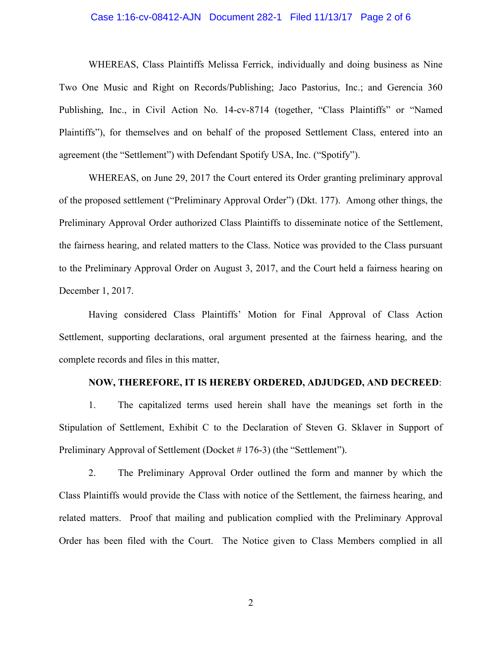## Case 1:16-cv-08412-AJN Document 282-1 Filed 11/13/17 Page 2 of 6

WHEREAS, Class Plaintiffs Melissa Ferrick, individually and doing business as Nine Two One Music and Right on Records/Publishing; Jaco Pastorius, Inc.; and Gerencia 360 Publishing, Inc., in Civil Action No. 14-cv-8714 (together, "Class Plaintiffs" or "Named Plaintiffs"), for themselves and on behalf of the proposed Settlement Class, entered into an agreement (the "Settlement") with Defendant Spotify USA, Inc. ("Spotify").

WHEREAS, on June 29, 2017 the Court entered its Order granting preliminary approval of the proposed settlement ("Preliminary Approval Order") (Dkt. 177). Among other things, the Preliminary Approval Order authorized Class Plaintiffs to disseminate notice of the Settlement, the fairness hearing, and related matters to the Class. Notice was provided to the Class pursuant to the Preliminary Approval Order on August 3, 2017, and the Court held a fairness hearing on December 1, 2017.

Having considered Class Plaintiffs' Motion for Final Approval of Class Action Settlement, supporting declarations, oral argument presented at the fairness hearing, and the complete records and files in this matter,

# **NOW, THEREFORE, IT IS HEREBY ORDERED, ADJUDGED, AND DECREED**:

1. The capitalized terms used herein shall have the meanings set forth in the Stipulation of Settlement, Exhibit C to the Declaration of Steven G. Sklaver in Support of Preliminary Approval of Settlement (Docket # 176-3) (the "Settlement").

2. The Preliminary Approval Order outlined the form and manner by which the Class Plaintiffs would provide the Class with notice of the Settlement, the fairness hearing, and related matters. Proof that mailing and publication complied with the Preliminary Approval Order has been filed with the Court. The Notice given to Class Members complied in all

2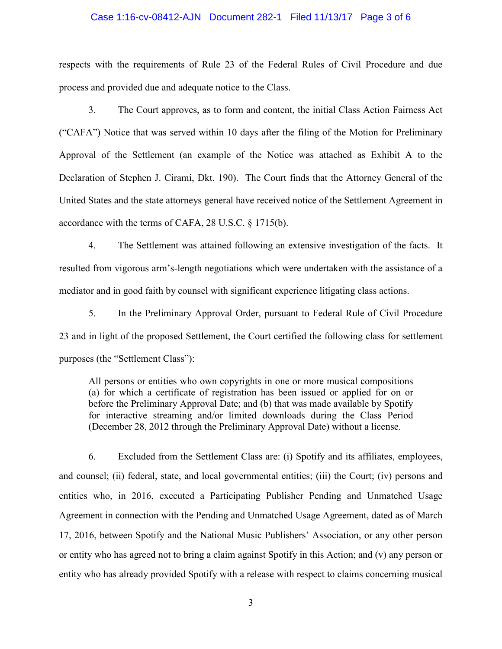#### Case 1:16-cv-08412-AJN Document 282-1 Filed 11/13/17 Page 3 of 6

respects with the requirements of Rule 23 of the Federal Rules of Civil Procedure and due process and provided due and adequate notice to the Class.

3. The Court approves, as to form and content, the initial Class Action Fairness Act ("CAFA") Notice that was served within 10 days after the filing of the Motion for Preliminary Approval of the Settlement (an example of the Notice was attached as Exhibit A to the Declaration of Stephen J. Cirami, Dkt. 190). The Court finds that the Attorney General of the United States and the state attorneys general have received notice of the Settlement Agreement in accordance with the terms of CAFA, 28 U.S.C. § 1715(b).

4. The Settlement was attained following an extensive investigation of the facts. It resulted from vigorous arm's-length negotiations which were undertaken with the assistance of a mediator and in good faith by counsel with significant experience litigating class actions.

5. In the Preliminary Approval Order, pursuant to Federal Rule of Civil Procedure 23 and in light of the proposed Settlement, the Court certified the following class for settlement purposes (the "Settlement Class"):

All persons or entities who own copyrights in one or more musical compositions (a) for which a certificate of registration has been issued or applied for on or before the Preliminary Approval Date; and (b) that was made available by Spotify for interactive streaming and/or limited downloads during the Class Period (December 28, 2012 through the Preliminary Approval Date) without a license.

6. Excluded from the Settlement Class are: (i) Spotify and its affiliates, employees, and counsel; (ii) federal, state, and local governmental entities; (iii) the Court; (iv) persons and entities who, in 2016, executed a Participating Publisher Pending and Unmatched Usage Agreement in connection with the Pending and Unmatched Usage Agreement, dated as of March 17, 2016, between Spotify and the National Music Publishers' Association, or any other person or entity who has agreed not to bring a claim against Spotify in this Action; and (v) any person or entity who has already provided Spotify with a release with respect to claims concerning musical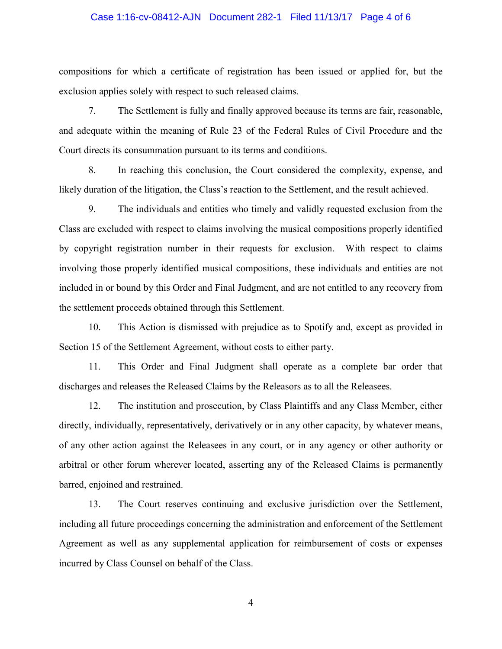# Case 1:16-cv-08412-AJN Document 282-1 Filed 11/13/17 Page 4 of 6

compositions for which a certificate of registration has been issued or applied for, but the exclusion applies solely with respect to such released claims.

7. The Settlement is fully and finally approved because its terms are fair, reasonable, and adequate within the meaning of Rule 23 of the Federal Rules of Civil Procedure and the Court directs its consummation pursuant to its terms and conditions.

8. In reaching this conclusion, the Court considered the complexity, expense, and likely duration of the litigation, the Class's reaction to the Settlement, and the result achieved.

9. The individuals and entities who timely and validly requested exclusion from the Class are excluded with respect to claims involving the musical compositions properly identified by copyright registration number in their requests for exclusion. With respect to claims involving those properly identified musical compositions, these individuals and entities are not included in or bound by this Order and Final Judgment, and are not entitled to any recovery from the settlement proceeds obtained through this Settlement.

10. This Action is dismissed with prejudice as to Spotify and, except as provided in Section 15 of the Settlement Agreement, without costs to either party.

11. This Order and Final Judgment shall operate as a complete bar order that discharges and releases the Released Claims by the Releasors as to all the Releasees.

12. The institution and prosecution, by Class Plaintiffs and any Class Member, either directly, individually, representatively, derivatively or in any other capacity, by whatever means, of any other action against the Releasees in any court, or in any agency or other authority or arbitral or other forum wherever located, asserting any of the Released Claims is permanently barred, enjoined and restrained.

13. The Court reserves continuing and exclusive jurisdiction over the Settlement, including all future proceedings concerning the administration and enforcement of the Settlement Agreement as well as any supplemental application for reimbursement of costs or expenses incurred by Class Counsel on behalf of the Class.

4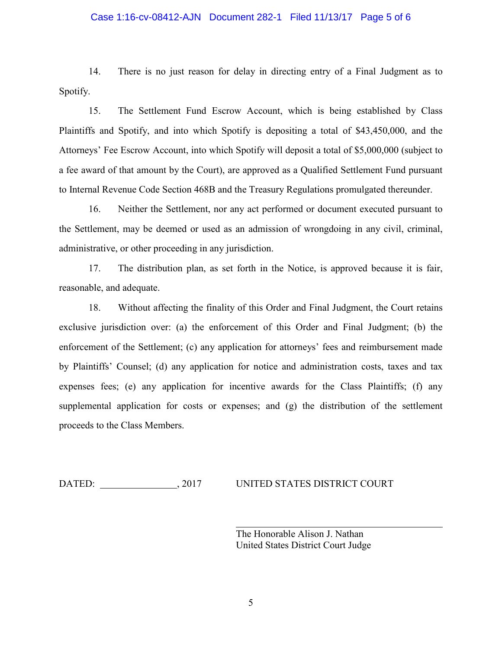# Case 1:16-cv-08412-AJN Document 282-1 Filed 11/13/17 Page 5 of 6

14. There is no just reason for delay in directing entry of a Final Judgment as to Spotify.

15. The Settlement Fund Escrow Account, which is being established by Class Plaintiffs and Spotify, and into which Spotify is depositing a total of \$43,450,000, and the Attorneys' Fee Escrow Account, into which Spotify will deposit a total of \$5,000,000 (subject to a fee award of that amount by the Court), are approved as a Qualified Settlement Fund pursuant to Internal Revenue Code Section 468B and the Treasury Regulations promulgated thereunder.

16. Neither the Settlement, nor any act performed or document executed pursuant to the Settlement, may be deemed or used as an admission of wrongdoing in any civil, criminal, administrative, or other proceeding in any jurisdiction.

17. The distribution plan, as set forth in the Notice, is approved because it is fair, reasonable, and adequate.

18. Without affecting the finality of this Order and Final Judgment, the Court retains exclusive jurisdiction over: (a) the enforcement of this Order and Final Judgment; (b) the enforcement of the Settlement; (c) any application for attorneys' fees and reimbursement made by Plaintiffs' Counsel; (d) any application for notice and administration costs, taxes and tax expenses fees; (e) any application for incentive awards for the Class Plaintiffs; (f) any supplemental application for costs or expenses; and (g) the distribution of the settlement proceeds to the Class Members.

DATED: , 2017 UNITED STATES DISTRICT COURT

The Honorable Alison J. Nathan United States District Court Judge

 $\overline{a}$